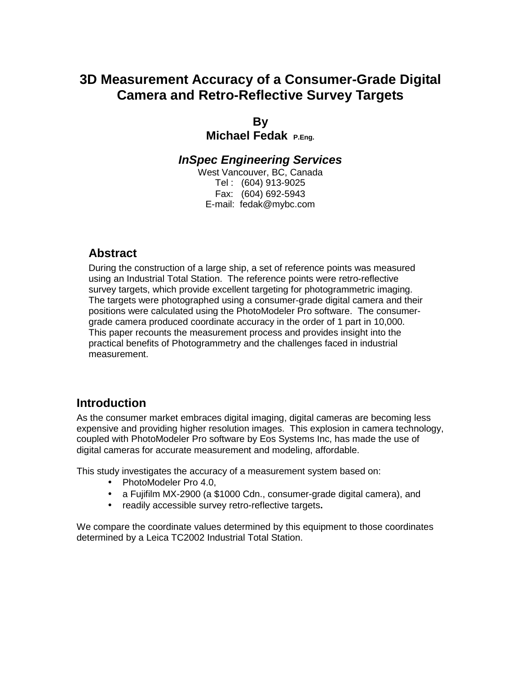# **3D Measurement Accuracy of a Consumer-Grade Digital Camera and Retro-Reflective Survey Targets**

## **By**

**Michael Fedak P.Eng.**

### *InSpec Engineering Services*

West Vancouver, BC, Canada Tel : (604) 913-9025 Fax: (604) 692-5943 E-mail: fedak@mybc.com

### **Abstract**

During the construction of a large ship, a set of reference points was measured using an Industrial Total Station. The reference points were retro-reflective survey targets, which provide excellent targeting for photogrammetric imaging. The targets were photographed using a consumer-grade digital camera and their positions were calculated using the PhotoModeler Pro software. The consumergrade camera produced coordinate accuracy in the order of 1 part in 10,000. This paper recounts the measurement process and provides insight into the practical benefits of Photogrammetry and the challenges faced in industrial measurement.

### **Introduction**

As the consumer market embraces digital imaging, digital cameras are becoming less expensive and providing higher resolution images. This explosion in camera technology, coupled with PhotoModeler Pro software by Eos Systems Inc, has made the use of digital cameras for accurate measurement and modeling, affordable.

This study investigates the accuracy of a measurement system based on:

- PhotoModeler Pro 4.0.
- a Fujifilm MX-2900 (a \$1000 Cdn., consumer-grade digital camera), and
- readily accessible survey retro-reflective targets**.**

We compare the coordinate values determined by this equipment to those coordinates determined by a Leica TC2002 Industrial Total Station.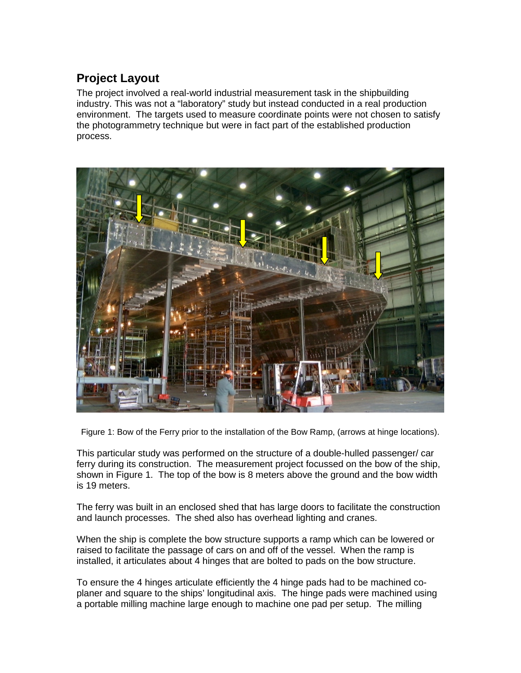# **Project Layout**

The project involved a real-world industrial measurement task in the shipbuilding industry. This was not a "laboratory" study but instead conducted in a real production environment. The targets used to measure coordinate points were not chosen to satisfy the photogrammetry technique but were in fact part of the established production process.



Figure 1: Bow of the Ferry prior to the installation of the Bow Ramp, (arrows at hinge locations).

This particular study was performed on the structure of a double-hulled passenger/ car ferry during its construction. The measurement project focussed on the bow of the ship, shown in Figure 1. The top of the bow is 8 meters above the ground and the bow width is 19 meters.

The ferry was built in an enclosed shed that has large doors to facilitate the construction and launch processes. The shed also has overhead lighting and cranes.

When the ship is complete the bow structure supports a ramp which can be lowered or raised to facilitate the passage of cars on and off of the vessel. When the ramp is installed, it articulates about 4 hinges that are bolted to pads on the bow structure.

To ensure the 4 hinges articulate efficiently the 4 hinge pads had to be machined coplaner and square to the ships' longitudinal axis. The hinge pads were machined using a portable milling machine large enough to machine one pad per setup. The milling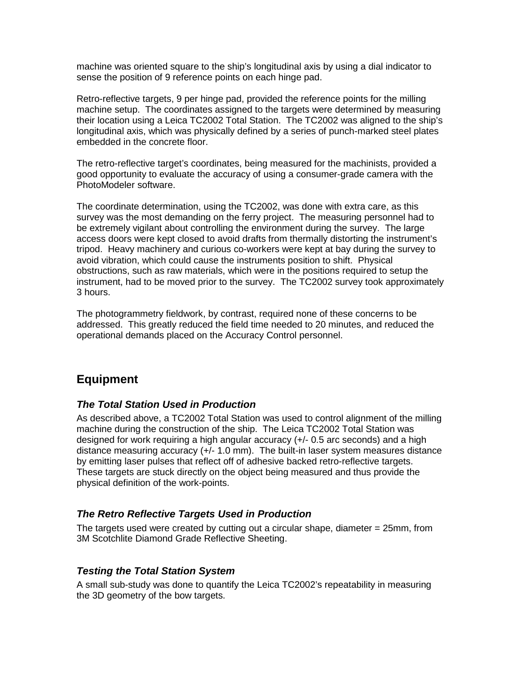machine was oriented square to the ship's longitudinal axis by using a dial indicator to sense the position of 9 reference points on each hinge pad.

Retro-reflective targets, 9 per hinge pad, provided the reference points for the milling machine setup. The coordinates assigned to the targets were determined by measuring their location using a Leica TC2002 Total Station. The TC2002 was aligned to the ship's longitudinal axis, which was physically defined by a series of punch-marked steel plates embedded in the concrete floor.

The retro-reflective target's coordinates, being measured for the machinists, provided a good opportunity to evaluate the accuracy of using a consumer-grade camera with the PhotoModeler software.

The coordinate determination, using the TC2002, was done with extra care, as this survey was the most demanding on the ferry project. The measuring personnel had to be extremely vigilant about controlling the environment during the survey. The large access doors were kept closed to avoid drafts from thermally distorting the instrument's tripod. Heavy machinery and curious co-workers were kept at bay during the survey to avoid vibration, which could cause the instruments position to shift. Physical obstructions, such as raw materials, which were in the positions required to setup the instrument, had to be moved prior to the survey. The TC2002 survey took approximately 3 hours.

The photogrammetry fieldwork, by contrast, required none of these concerns to be addressed. This greatly reduced the field time needed to 20 minutes, and reduced the operational demands placed on the Accuracy Control personnel.

### **Equipment**

#### *The Total Station Used in Production*

As described above, a TC2002 Total Station was used to control alignment of the milling machine during the construction of the ship. The Leica TC2002 Total Station was designed for work requiring a high angular accuracy (+/- 0.5 arc seconds) and a high distance measuring accuracy (+/- 1.0 mm). The built-in laser system measures distance by emitting laser pulses that reflect off of adhesive backed retro-reflective targets. These targets are stuck directly on the object being measured and thus provide the physical definition of the work-points.

#### *The Retro Reflective Targets Used in Production*

The targets used were created by cutting out a circular shape, diameter = 25mm, from 3M Scotchlite Diamond Grade Reflective Sheeting.

#### *Testing the Total Station System*

A small sub-study was done to quantify the Leica TC2002's repeatability in measuring the 3D geometry of the bow targets.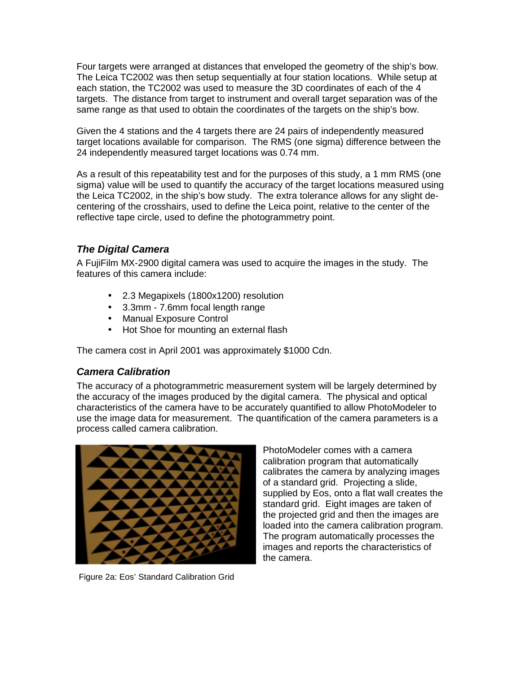Four targets were arranged at distances that enveloped the geometry of the ship's bow. The Leica TC2002 was then setup sequentially at four station locations. While setup at each station, the TC2002 was used to measure the 3D coordinates of each of the 4 targets. The distance from target to instrument and overall target separation was of the same range as that used to obtain the coordinates of the targets on the ship's bow.

Given the 4 stations and the 4 targets there are 24 pairs of independently measured target locations available for comparison. The RMS (one sigma) difference between the 24 independently measured target locations was 0.74 mm.

As a result of this repeatability test and for the purposes of this study, a 1 mm RMS (one sigma) value will be used to quantify the accuracy of the target locations measured using the Leica TC2002, in the ship's bow study. The extra tolerance allows for any slight decentering of the crosshairs, used to define the Leica point, relative to the center of the reflective tape circle, used to define the photogrammetry point.

#### *The Digital Camera*

A FujiFilm MX-2900 digital camera was used to acquire the images in the study. The features of this camera include:

- 2.3 Megapixels (1800x1200) resolution
- 3.3mm 7.6mm focal length range
- Manual Exposure Control
- Hot Shoe for mounting an external flash

The camera cost in April 2001 was approximately \$1000 Cdn.

#### *Camera Calibration*

The accuracy of a photogrammetric measurement system will be largely determined by the accuracy of the images produced by the digital camera. The physical and optical characteristics of the camera have to be accurately quantified to allow PhotoModeler to use the image data for measurement. The quantification of the camera parameters is a process called camera calibration.



Figure 2a: Eos' Standard Calibration Grid

PhotoModeler comes with a camera calibration program that automatically calibrates the camera by analyzing images of a standard grid. Projecting a slide, supplied by Eos, onto a flat wall creates the standard grid. Eight images are taken of the projected grid and then the images are loaded into the camera calibration program. The program automatically processes the images and reports the characteristics of the camera.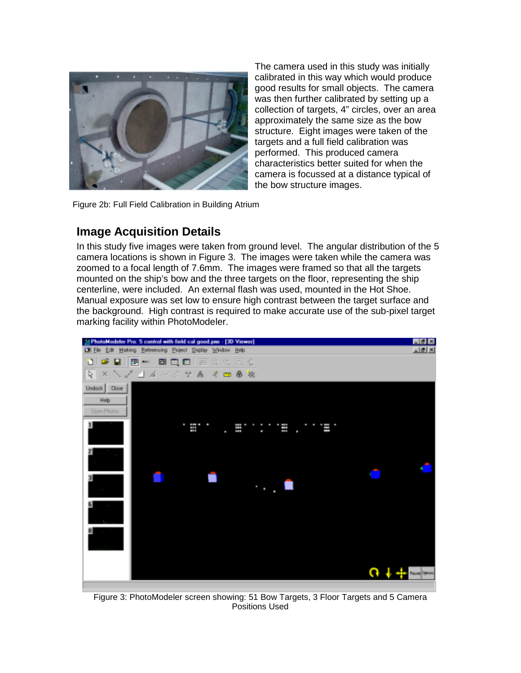

The camera used in this study was initially calibrated in this way which would produce good results for small objects. The camera was then further calibrated by setting up a collection of targets, 4" circles, over an area approximately the same size as the bow structure. Eight images were taken of the targets and a full field calibration was performed. This produced camera characteristics better suited for when the camera is focussed at a distance typical of the bow structure images.

Figure 2b: Full Field Calibration in Building Atrium

### **Image Acquisition Details**

In this study five images were taken from ground level. The angular distribution of the 5 camera locations is shown in Figure 3. The images were taken while the camera was zoomed to a focal length of 7.6mm. The images were framed so that all the targets mounted on the ship's bow and the three targets on the floor, representing the ship centerline, were included. An external flash was used, mounted in the Hot Shoe. Manual exposure was set low to ensure high contrast between the target surface and the background. High contrast is required to make accurate use of the sub-pixel target marking facility within PhotoModeler.



Figure 3: PhotoModeler screen showing: 51 Bow Targets, 3 Floor Targets and 5 Camera Positions Used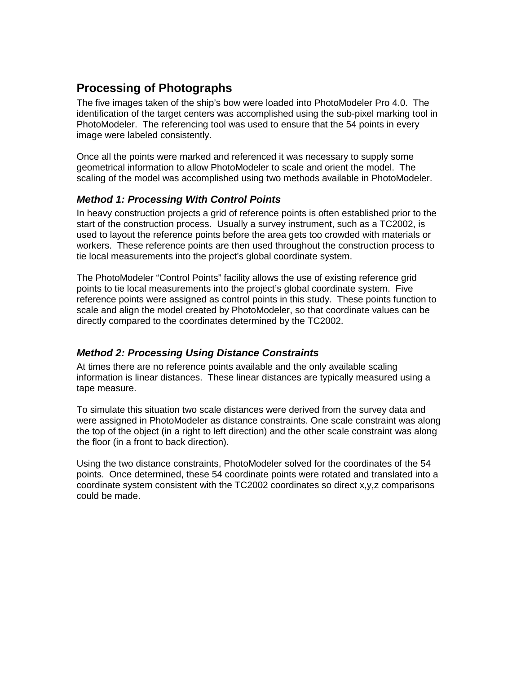## **Processing of Photographs**

The five images taken of the ship's bow were loaded into PhotoModeler Pro 4.0. The identification of the target centers was accomplished using the sub-pixel marking tool in PhotoModeler. The referencing tool was used to ensure that the 54 points in every image were labeled consistently.

Once all the points were marked and referenced it was necessary to supply some geometrical information to allow PhotoModeler to scale and orient the model. The scaling of the model was accomplished using two methods available in PhotoModeler.

#### *Method 1: Processing With Control Points*

In heavy construction projects a grid of reference points is often established prior to the start of the construction process. Usually a survey instrument, such as a TC2002, is used to layout the reference points before the area gets too crowded with materials or workers. These reference points are then used throughout the construction process to tie local measurements into the project's global coordinate system.

The PhotoModeler "Control Points" facility allows the use of existing reference grid points to tie local measurements into the project's global coordinate system. Five reference points were assigned as control points in this study. These points function to scale and align the model created by PhotoModeler, so that coordinate values can be directly compared to the coordinates determined by the TC2002.

#### *Method 2: Processing Using Distance Constraints*

At times there are no reference points available and the only available scaling information is linear distances. These linear distances are typically measured using a tape measure.

To simulate this situation two scale distances were derived from the survey data and were assigned in PhotoModeler as distance constraints. One scale constraint was along the top of the object (in a right to left direction) and the other scale constraint was along the floor (in a front to back direction).

Using the two distance constraints, PhotoModeler solved for the coordinates of the 54 points. Once determined, these 54 coordinate points were rotated and translated into a coordinate system consistent with the TC2002 coordinates so direct x,y,z comparisons could be made.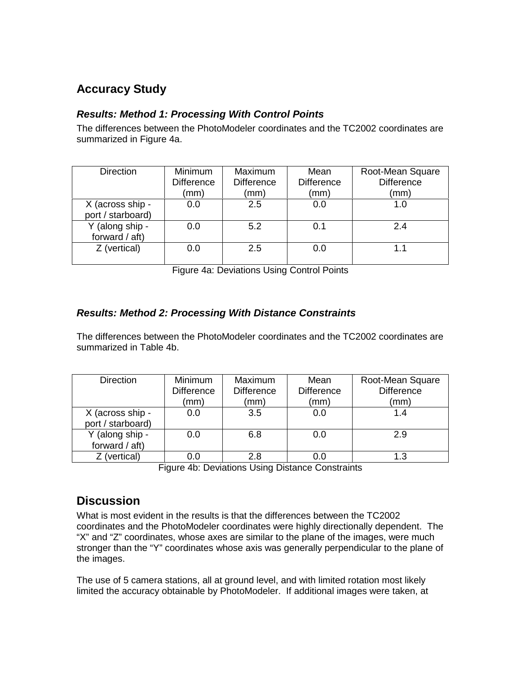## **Accuracy Study**

#### *Results: Method 1: Processing With Control Points*

The differences between the PhotoModeler coordinates and the TC2002 coordinates are summarized in Figure 4a.

| <b>Direction</b>                      | <b>Minimum</b><br><b>Difference</b><br>(mm) | Maximum<br><b>Difference</b><br>(mm) | Mean<br><b>Difference</b><br>(mm) | Root-Mean Square<br><b>Difference</b><br>(mm) |
|---------------------------------------|---------------------------------------------|--------------------------------------|-----------------------------------|-----------------------------------------------|
| X (across ship -<br>port / starboard) | 0.0                                         | 2.5                                  | 0.0                               | 1.0                                           |
| Y (along ship -<br>forward / aft)     | 0.0                                         | 5.2                                  | 0.1                               | 2.4                                           |
| Z (vertical)                          | 0.0                                         | 2.5                                  | 0.0                               | 1.1                                           |

Figure 4a: Deviations Using Control Points

#### *Results: Method 2: Processing With Distance Constraints*

The differences between the PhotoModeler coordinates and the TC2002 coordinates are summarized in Table 4b.

| <b>Direction</b>                      | <b>Minimum</b><br><b>Difference</b><br>(mm) | Maximum<br><b>Difference</b><br>(mm) | Mean<br><b>Difference</b><br>(mm | Root-Mean Square<br><b>Difference</b><br>(mm) |
|---------------------------------------|---------------------------------------------|--------------------------------------|----------------------------------|-----------------------------------------------|
| X (across ship -<br>port / starboard) | 0.0                                         | 3.5                                  | 0.0                              | 1.4                                           |
| Y (along ship -<br>forward $/$ aft)   | 0.0                                         | 6.8                                  | 0.0                              | 2.9                                           |
| Z (vertical)                          | 0.0                                         | 2.8                                  |                                  |                                               |

Figure 4b: Deviations Using Distance Constraints

### **Discussion**

What is most evident in the results is that the differences between the TC2002 coordinates and the PhotoModeler coordinates were highly directionally dependent. The "X" and "Z" coordinates, whose axes are similar to the plane of the images, were much stronger than the "Y" coordinates whose axis was generally perpendicular to the plane of the images.

The use of 5 camera stations, all at ground level, and with limited rotation most likely limited the accuracy obtainable by PhotoModeler. If additional images were taken, at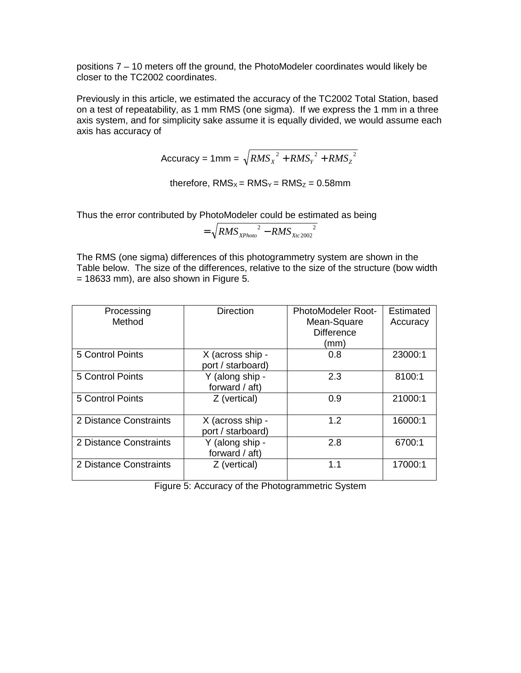positions 7 – 10 meters off the ground, the PhotoModeler coordinates would likely be closer to the TC2002 coordinates.

Previously in this article, we estimated the accuracy of the TC2002 Total Station, based on a test of repeatability, as 1 mm RMS (one sigma). If we express the 1 mm in a three axis system, and for simplicity sake assume it is equally divided, we would assume each axis has accuracy of

$$
Accuracy = 1mm = \sqrt{RMS_x^2 + RMS_y^2 + RMS_z^2}
$$

therefore,  $RMS_x = RMS_y = RMS_z = 0.58mm$ 

Thus the error contributed by PhotoModeler could be estimated as being

$$
= \sqrt{RMS_{\text{XPhoto}}^2 - RMS_{\text{Xtc 2002}}^2}
$$

The RMS (one sigma) differences of this photogrammetry system are shown in the Table below. The size of the differences, relative to the size of the structure (bow width  $= 18633$  mm), are also shown in Figure 5.

| Processing             | <b>Direction</b>  | <b>PhotoModeler Root-</b> | <b>Estimated</b> |
|------------------------|-------------------|---------------------------|------------------|
| Method                 |                   | Mean-Square               | Accuracy         |
|                        |                   | <b>Difference</b>         |                  |
|                        |                   | (mm)                      |                  |
| 5 Control Points       | X (across ship -  | 0.8                       | 23000:1          |
|                        | port / starboard) |                           |                  |
| 5 Control Points       | Y (along ship -   | 2.3                       | 8100:1           |
|                        | forward $/$ aft)  |                           |                  |
| 5 Control Points       | Z (vertical)      | 0.9                       | 21000:1          |
|                        |                   |                           |                  |
| 2 Distance Constraints | X (across ship -  | 1.2                       | 16000:1          |
|                        | port / starboard) |                           |                  |
| 2 Distance Constraints | Y (along ship -   | 2.8                       | 6700:1           |
|                        | forward $/$ aft)  |                           |                  |
| 2 Distance Constraints | Z (vertical)      | 1.1                       | 17000:1          |
|                        |                   |                           |                  |

Figure 5: Accuracy of the Photogrammetric System